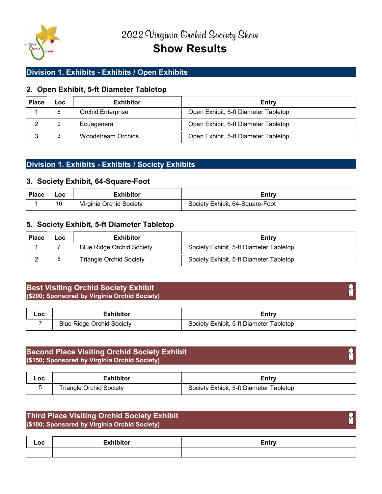

## Division 1. Exhibits - Exhibits / Open Exhibits

## 2. Open Exhibit, 5-ft Diameter Tabletop

| <b>Place</b> | Loc | <b>Exhibitor</b>   | Entry                                |
|--------------|-----|--------------------|--------------------------------------|
|              | 8   | Orchid Enterprise  | Open Exhibit, 5-ft Diameter Tabletop |
| ⌒            | 9   | Ecuagenera         | Open Exhibit, 5-ft Diameter Tabletop |
| ◠            |     | Woodstream Orchids | Open Exhibit, 5-ft Diameter Tabletop |

## Division 1. Exhibits - Exhibits / Society Exhibits

#### 3. Society Exhibit, 64-Square-Foot

| <b>Place</b> | ∟oc | <b>Exhibitor</b>        | Entrv                           |
|--------------|-----|-------------------------|---------------------------------|
|              | 10  | Virginia Orchid Society | Society Exhibit, 64-Square-Foot |

#### 5. Society Exhibit, 5-ft Diameter Tabletop

| <b>Place</b> | Loc | <b>Exhibitor</b>                 | Entry                                   |
|--------------|-----|----------------------------------|-----------------------------------------|
|              |     | <b>Blue Ridge Orchid Society</b> | Society Exhibit, 5-ft Diameter Tabletop |
|              |     | <b>Triangle Orchid Society</b>   | Society Exhibit, 5-ft Diameter Tabletop |

## Best Visiting Orchid Society Exhibit (\$200; Sponsored by Virginia Orchid Society)

| Loc | _xhibitor                        | cntrv                                   |
|-----|----------------------------------|-----------------------------------------|
|     | <b>Blue Ridge Orchid Society</b> | Society Exhibit, 5-ft Diameter Tabletop |

## Second Place Visiting Orchid Society Exhibit (\$150; Sponsored by Virginia Orchid Society)

| Loc | :xhibitor               | Entr                                    |
|-----|-------------------------|-----------------------------------------|
|     | Friangle Orchid Society | Society Exhibit, 5-ft Diameter Tabletop |

## Third Place Visiting Orchid Society Exhibit (\$100; Sponsored by Virginia Orchid Society)

| _OC | <b>The Contract Contract Contract Contract Contract Contract Contract Contract Contract Contract Contract Contract</b><br><b>Executivition</b> | —……<br>cuu) |
|-----|------------------------------------------------------------------------------------------------------------------------------------------------|-------------|
|     |                                                                                                                                                |             |

# h

Ħ

m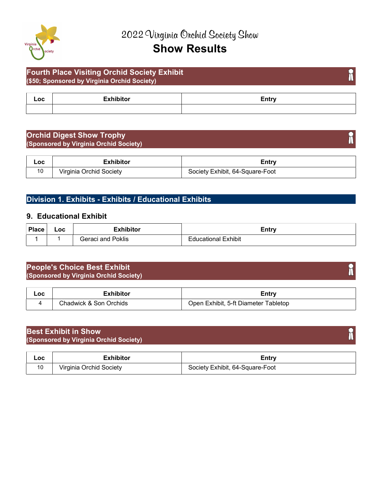

# Show Results

## Fourth Place Visiting Orchid Society Exhibit (\$50; Sponsored by Virginia Orchid Society)

| ᄂ୰ | ---<br><b>EUU</b> |
|----|-------------------|
|    |                   |

## Orchid Digest Show Trophy (Sponsored by Virginia Orchid Society)

| Loc | Exhibitor               | ∠ntrv                           |
|-----|-------------------------|---------------------------------|
| 10  | Virginia Orchid Society | Society Exhibit, 64-Square-Foot |

## Division 1. Exhibits - Exhibits / Educational Exhibits

## 9. Educational Exhibit

| <b>Place</b> | $\_OC$ | =vhihitar     | ∠ntry |
|--------------|--------|---------------|-------|
|              |        | Poklis<br>and | hibit |

## People's Choice Best Exhibit (Sponsored by Virginia Orchid Society)

| Loc | -waiters                              | .<br><b>EULL</b>                                       |
|-----|---------------------------------------|--------------------------------------------------------|
|     | $chodu$<br>. I\Mi∩k<br>∶nn<br>)rchids | .hibit<br>ableton.<br>. Iner<br>meter<br>) Iar<br>5.TT |

| <b>Best Exhibit in Show</b><br>(Sponsored by Virginia Orchid Society) |  |
|-----------------------------------------------------------------------|--|
|                                                                       |  |

| Loc | <b>Exhibitor</b>        | ∠ntrv                           |
|-----|-------------------------|---------------------------------|
| 10  | Virginia Orchid Society | Society Exhibit, 64-Square-Foot |

# h

T

 $\hat{\mathbf{h}}$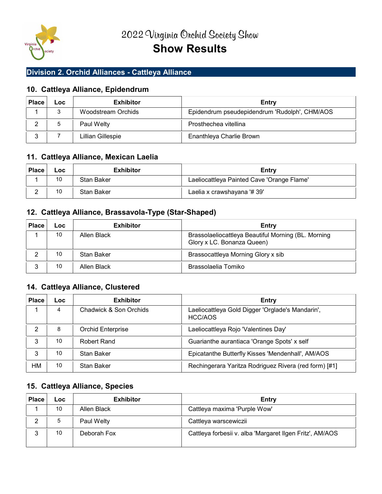

## Division 2. Orchid Alliances - Cattleya Alliance

## 10. Cattleya Alliance, Epidendrum

| <b>Place</b> | ∟oc     | <b>Exhibitor</b>   | Entry                                         |
|--------------|---------|--------------------|-----------------------------------------------|
|              | ◠<br>×. | Woodstream Orchids | Epidendrum pseudepidendrum 'Rudolph', CHM/AOS |
|              |         | Paul Welty         | Prosthechea vitellina                         |
|              |         | Lillian Gillespie  | Enanthleya Charlie Brown                      |

## 11. Cattleya Alliance, Mexican Laelia

| <b>Place</b> | Loc | <b>Exhibitor</b> | Entry                                      |
|--------------|-----|------------------|--------------------------------------------|
|              | 10  | Stan Baker       | Laeliocattleya Painted Cave 'Orange Flame' |
|              | 10  | Stan Baker       | Laelia x crawshayana '# 39'                |

## 12. Cattleya Alliance, Brassavola-Type (Star-Shaped)

| <b>Place</b> | Loc | <b>Exhibitor</b> | Entry                                                                             |
|--------------|-----|------------------|-----------------------------------------------------------------------------------|
|              | 10  | Allen Black      | Brassolaeliocattleya Beautiful Morning (BL. Morning<br>Glory x LC. Bonanza Queen) |
|              | 10  | Stan Baker       | Brassocattleya Morning Glory x sib                                                |
| ◠            | 10  | Allen Black      | Brassolaelia Tomiko                                                               |

## 14. Cattleya Alliance, Clustered

| <b>Place</b> | <b>LOC</b> | <b>Exhibitor</b>                                                    | Entry                                                       |
|--------------|------------|---------------------------------------------------------------------|-------------------------------------------------------------|
|              | 4          | Chadwick & Son Orchids                                              | Laeliocattleya Gold Digger 'Orglade's Mandarin',<br>HCC/AOS |
|              | 8          | Orchid Enterprise                                                   | Laeliocattleya Rojo 'Valentines Day'                        |
|              | 10         | Robert Rand                                                         | Guarianthe aurantiaca 'Orange Spots' x self                 |
|              | 10         | Stan Baker                                                          | Epicatanthe Butterfly Kisses 'Mendenhall', AM/AOS           |
| HM           | 10         | Rechingerara Yaritza Rodriguez Rivera (red form) [#1]<br>Stan Baker |                                                             |

## 15. Cattleya Alliance, Species

| <b>Place</b> | Loc. | <b>Exhibitor</b> | Entry                                                    |
|--------------|------|------------------|----------------------------------------------------------|
|              | 10   | Allen Black      | Cattleya maxima 'Purple Wow'                             |
| ◠            |      | Paul Welty       | Cattleya warscewiczii                                    |
| ◠            | 10   | Deborah Fox      | Cattleya forbesii v. alba 'Margaret Ilgen Fritz', AM/AOS |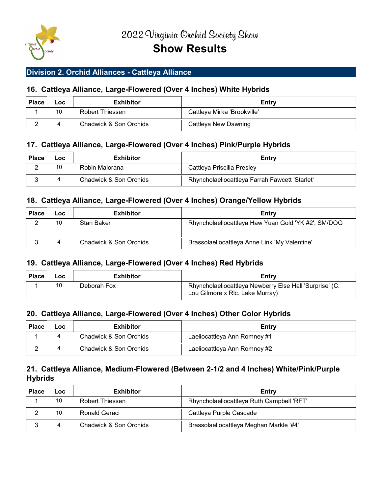

## Division 2. Orchid Alliances - Cattleya Alliance

## 16. Cattleya Alliance, Large-Flowered (Over 4 Inches) White Hybrids

| <b>Place</b> | Loc | <b>Exhibitor</b>       | Entry                       |
|--------------|-----|------------------------|-----------------------------|
|              | 10  | Robert Thiessen        | Cattleya Mirka 'Brookville' |
| $\sqrt{2}$   |     | Chadwick & Son Orchids | Cattleya New Dawning        |

## 17. Cattleya Alliance, Large-Flowered (Over 4 Inches) Pink/Purple Hybrids

| <b>Place</b> | LOC | <b>Exhibitor</b>       | Entry                                          |
|--------------|-----|------------------------|------------------------------------------------|
| $\sqrt{2}$   | 10  | Robin Maiorana         | Cattleya Priscilla Presley                     |
| ∽            |     | Chadwick & Son Orchids | Rhyncholaeliocattleya Farrah Fawcett 'Starlet' |

## 18. Cattleya Alliance, Large-Flowered (Over 4 Inches) Orange/Yellow Hybrids

| <b>Place</b> | ∟oc | <b>Exhibitor</b>       | Entry                                               |
|--------------|-----|------------------------|-----------------------------------------------------|
|              | 10  | Stan Baker             | Rhyncholaeliocattleya Haw Yuan Gold 'YK #2', SM/DOG |
|              |     | Chadwick & Son Orchids | Brassolaeliocattleya Anne Link 'My Valentine'       |

## 19. Cattleya Alliance, Large-Flowered (Over 4 Inches) Red Hybrids

| <b>Place</b> | Loc | Exhibitor   | Entry                                                                                      |
|--------------|-----|-------------|--------------------------------------------------------------------------------------------|
|              | 10  | Deborah Fox | Rhyncholaeliocattleya Newberry Else Hall 'Surprise' (C.<br>Lou Gilmore x Rlc. Lake Murray) |

## 20. Cattleya Alliance, Large-Flowered (Over 4 Inches) Other Color Hybrids

| <b>Place</b> | LOC. | <b>Exhibitor</b>       | Entry                        |
|--------------|------|------------------------|------------------------------|
|              |      | Chadwick & Son Orchids | Laeliocattleya Ann Romney #1 |
| ⌒            |      | Chadwick & Son Orchids | Laeliocattleya Ann Romney #2 |

## 21. Cattleya Alliance, Medium-Flowered (Between 2-1/2 and 4 Inches) White/Pink/Purple **Hybrids**

| <b>Place</b> | ∟OC | <b>Exhibitor</b>       | Entry                                     |
|--------------|-----|------------------------|-------------------------------------------|
|              | 10  | Robert Thiessen        | Rhyncholaeliocattleya Ruth Campbell 'RFT' |
|              | 10  | Ronald Geraci          | Cattleya Purple Cascade                   |
|              |     | Chadwick & Son Orchids | Brassolaeliocattleya Meghan Markle '#4'   |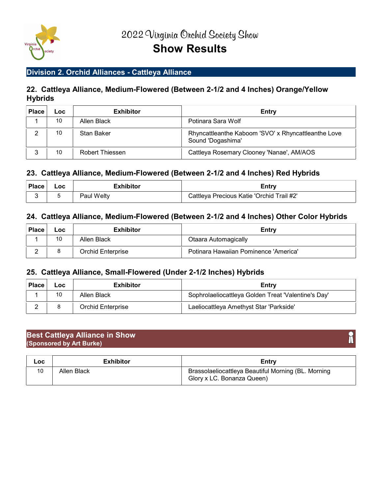

## Division 2. Orchid Alliances - Cattleya Alliance

## 22. Cattleya Alliance, Medium-Flowered (Between 2-1/2 and 4 Inches) Orange/Yellow **Hybrids**

| <b>Place</b> | ∟oc | <b>Exhibitor</b> | Entry                                                                    |
|--------------|-----|------------------|--------------------------------------------------------------------------|
|              | 10  | Allen Black      | Potinara Sara Wolf                                                       |
|              | 10  | Stan Baker       | Rhyncattleanthe Kaboom 'SVO' x Rhyncattleanthe Love<br>Sound 'Dogashima' |
|              | 10  | Robert Thiessen  | Cattleya Rosemary Clooney 'Nanae', AM/AOS                                |

## 23. Cattleya Alliance, Medium-Flowered (Between 2-1/2 and 4 Inches) Red Hybrids

| <b>Place</b> | _OC . | Exhibitor  | <i><b>Entry</b></i>                       |
|--------------|-------|------------|-------------------------------------------|
|              |       | Paul Welty | Cattleya Precious Katie 'Orchid Trail #2' |

## 24. Cattleya Alliance, Medium-Flowered (Between 2-1/2 and 4 Inches) Other Color Hybrids

| <b>Place</b> | Loc     | <b>Exhibitor</b>  | Entry                                 |
|--------------|---------|-------------------|---------------------------------------|
|              | 10<br>L | Allen Black       | <b>Otaara Automagically</b>           |
| ⌒<br>-       |         | Orchid Enterprise | Potinara Hawaiian Pominence 'America' |

#### 25. Cattleya Alliance, Small-Flowered (Under 2-1/2 Inches) Hybrids

| <b>Place</b> | Loc | <b>Exhibitor</b>         | Entry                                               |
|--------------|-----|--------------------------|-----------------------------------------------------|
|              | 10  | Allen Black              | Sophrolaeliocattleya Golden Treat 'Valentine's Day' |
|              |     | <b>Orchid Enterprise</b> | Laeliocattleya Amethyst Star 'Parkside'             |

#### Best Cattleya Alliance in Show (Sponsored by Art Burke)

| Loc | <b>Exhibitor</b> | Entry                                                                             |
|-----|------------------|-----------------------------------------------------------------------------------|
|     | Allen Black      | Brassolaeliocattleya Beautiful Morning (BL. Morning<br>Glory x LC. Bonanza Queen) |

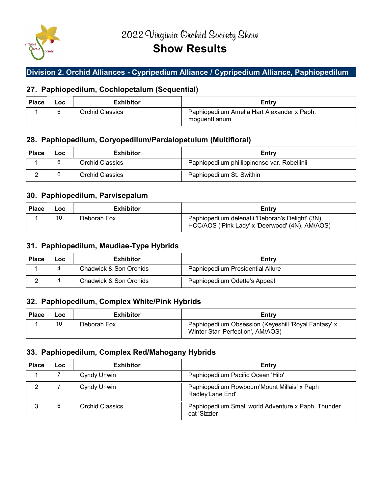

# Show Results

## Division 2. Orchid Alliances - Cypripedium Alliance / Cypripedium Alliance, Paphiopedilum

## 27. Paphiopedilum, Cochlopetalum (Sequential)

| <b>Place</b> | Loc | <b>Exhibitor</b> | Entry                                                        |
|--------------|-----|------------------|--------------------------------------------------------------|
|              |     | Orchid Classics  | Paphiopedilum Amelia Hart Alexander x Paph.<br>moguenttianum |

## 28. Paphiopedilum, Coryopedilum/Pardalopetulum (Multifloral)

| <b>Place</b> | LOC | <b>Exhibitor</b> | Entry                                        |
|--------------|-----|------------------|----------------------------------------------|
|              |     | Orchid Classics  | Paphiopedilum phillippinense var. Robellinii |
| ⌒            |     | Orchid Classics  | Paphiopedilum St. Swithin                    |

## 30. Paphiopedilum, Parvisepalum

| <b>Place</b> | Loc | <b>Exhibitor</b> | Entry                                                                                                |
|--------------|-----|------------------|------------------------------------------------------------------------------------------------------|
|              | 10  | Deborah Fox      | Paphiopedilum delenatii 'Deborah's Delight' (3N),<br>HCC/AOS ('Pink Lady' x 'Deerwood' (4N), AM/AOS) |

## 31. Paphiopedilum, Maudiae-Type Hybrids

| <b>Place</b> | Loc | <b>Exhibitor</b>       | Entry                             |
|--------------|-----|------------------------|-----------------------------------|
|              | 4   | Chadwick & Son Orchids | Paphiopedilum Presidential Allure |
|              | 4   | Chadwick & Son Orchids | Paphiopedilum Odette's Appeal     |

## 32. Paphiopedilum, Complex White/Pink Hybrids

| <b>Place</b> | Loc | <b>Exhibitor</b> | Entry                                                                                     |
|--------------|-----|------------------|-------------------------------------------------------------------------------------------|
|              | 10  | Deborah Fox      | Paphiopedilum Obsession (Keyeshill 'Royal Fantasy' x<br>Winter Star 'Perfection', AM/AOS) |

## 33. Paphiopedilum, Complex Red/Mahogany Hybrids

| <b>Place</b> | Loc | <b>Exhibitor</b>       | <b>Entry</b>                                                        |
|--------------|-----|------------------------|---------------------------------------------------------------------|
|              |     | Cyndy Unwin            | Paphiopedilum Pacific Ocean 'Hilo'                                  |
| っ            |     | <b>Cyndy Unwin</b>     | Paphiopedilum Rowbourn'Mount Millais' x Paph<br>Radley'Lane End'    |
|              | 6   | <b>Orchid Classics</b> | Paphiopedilum Small world Adventure x Paph. Thunder<br>cat 'Sizzler |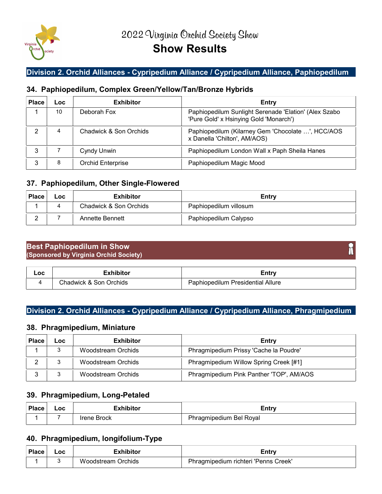

## Division 2. Orchid Alliances - Cypripedium Alliance / Cypripedium Alliance, Paphiopedilum

## 34. Paphiopedilum, Complex Green/Yellow/Tan/Bronze Hybrids

| <b>Place</b> | Loc | <b>Exhibitor</b>         | Entry                                                                                           |
|--------------|-----|--------------------------|-------------------------------------------------------------------------------------------------|
|              | 10  | Deborah Fox              | Paphiopedilum Sunlight Serenade 'Elation' (Alex Szabo<br>'Pure Gold' x Hsinying Gold 'Monarch') |
|              | 4   | Chadwick & Son Orchids   | Paphiopedilum (Kilarney Gem 'Chocolate ', HCC/AOS<br>x Danella 'Chilton', AM/AOS)               |
|              |     | Cyndy Unwin              | Paphiopedilum London Wall x Paph Sheila Hanes                                                   |
|              | 8   | <b>Orchid Enterprise</b> | Paphiopedilum Magic Mood                                                                        |

## 37. Paphiopedilum, Other Single-Flowered

| <b>Place</b> | Loc      | <b>Exhibitor</b>       | Entry                  |
|--------------|----------|------------------------|------------------------|
|              | $\Delta$ | Chadwick & Son Orchids | Paphiopedilum villosum |
|              |          | Annette Bennett        | Paphiopedilum Calypso  |

## Best Paphiopedilum in Show (Sponsored by Virginia Orchid Society)

| Loc | าibitor                                          | .                                                |
|-----|--------------------------------------------------|--------------------------------------------------|
|     | <b>Drchids</b><br>$\cap$ hadwick $\alpha$<br>Son | <b>Presidential Allure</b><br>uphiopedilum<br>аı |

## Division 2. Orchid Alliances - Cypripedium Alliance / Cypripedium Alliance, Phragmipedium

## 38. Phragmipedium, Miniature

| <b>Place</b> | -OC | <b>Exhibitor</b>   | Entry                                    |
|--------------|-----|--------------------|------------------------------------------|
|              |     | Woodstream Orchids | Phragmipedium Prissy 'Cache la Poudre'   |
|              |     | Woodstream Orchids | Phragmipedium Willow Spring Creek [#1]   |
|              |     | Woodstream Orchids | Phragmipedium Pink Panther 'TOP', AM/AOS |

## 39. Phragmipedium, Long-Petaled

| <b>Place</b> | .oc | <i>F</i> xhihitor | <i><u><b>Entry</b></u></i> |
|--------------|-----|-------------------|----------------------------|
|              |     | Brock<br>rene I   |                            |

## 40. Phragmipedium, longifolium-Type

| <b>Place</b> | Loc<br>$ -$ | -       | Entry                                           |
|--------------|-------------|---------|-------------------------------------------------|
|              |             | )rchids | Dh.<br>Creek'<br>∵Penns J<br>richteri<br>all in |

Ħ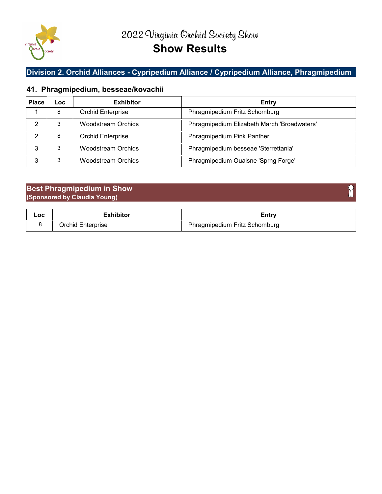

## Division 2. Orchid Alliances - Cypripedium Alliance / Cypripedium Alliance, Phragmipedium

## 41. Phragmipedium, besseae/kovachii

| <b>Place</b> | Loc. | <b>Exhibitor</b>          | Entry                                       |
|--------------|------|---------------------------|---------------------------------------------|
|              | 8    | <b>Orchid Enterprise</b>  | Phragmipedium Fritz Schomburg               |
|              | 3    | <b>Woodstream Orchids</b> | Phragmipedium Elizabeth March 'Broadwaters' |
|              | 8    | Orchid Enterprise         | Phragmipedium Pink Panther                  |
| 3            | 3    | <b>Woodstream Orchids</b> | Phragmipedium besseae 'Sterrettania'        |
|              | 3    | <b>Woodstream Orchids</b> | Phragmipedium Ouaisne 'Sprng Forge'         |

## Best Phragmipedium in Show (Sponsored by Claudia Young)

| Loc | Exhibitor         | Entry                         |
|-----|-------------------|-------------------------------|
|     | Orchid Enterprise | Phragmipedium Fritz Schomburg |

Î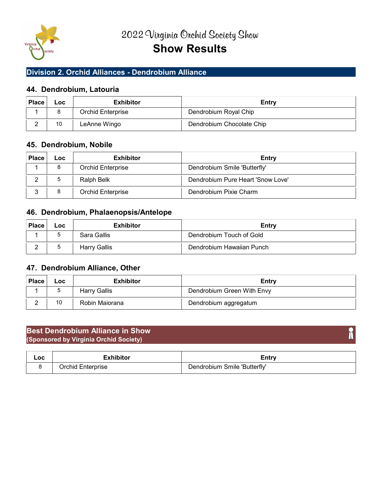

## Division 2. Orchid Alliances - Dendrobium Alliance

## 44. Dendrobium, Latouria

| <b>Place</b> | <b>Loc</b> | <b>Exhibitor</b>  | Entry                     |
|--------------|------------|-------------------|---------------------------|
|              |            | Orchid Enterprise | Dendrobium Royal Chip     |
|              | 10         | LeAnne Wingo      | Dendrobium Chocolate Chip |

## 45. Dendrobium, Nobile

| <b>Place</b> | Loc | <b>Exhibitor</b>  | Entry                             |
|--------------|-----|-------------------|-----------------------------------|
|              | 8   | Orchid Enterprise | Dendrobium Smile 'Butterfly'      |
|              |     | Ralph Belk        | Dendrobium Pure Heart 'Snow Love' |
|              | 8   | Orchid Enterprise | Dendrobium Pixie Charm            |

## 46. Dendrobium, Phalaenopsis/Antelope

| <b>Place</b>           | <b>LOC</b> | <b>Exhibitor</b>    | Entry                     |  |
|------------------------|------------|---------------------|---------------------------|--|
|                        |            | Sara Gallis         | Dendrobium Touch of Gold  |  |
| $\sqrt{2}$<br><u>.</u> |            | <b>Harry Gallis</b> | Dendrobium Hawaiian Punch |  |

## 47. Dendrobium Alliance, Other

| <b>Place</b> | Loc | <b>Exhibitor</b> | Entry                      |
|--------------|-----|------------------|----------------------------|
|              |     | Harry Gallis     | Dendrobium Green With Envy |
|              | 10  | Robin Maiorana   | Dendrobium aggregatum      |

## Best Dendrobium Alliance in Show (Sponsored by Virginia Orchid Society)

| Loc | Exhibitor         | ∠ntrv                        |
|-----|-------------------|------------------------------|
|     | Orchid Enterprise | Dendrobium Smile 'Butterfly' |

T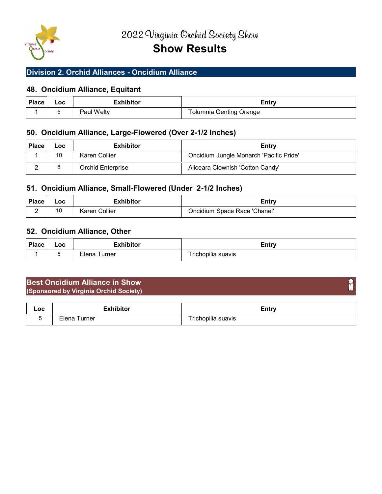

## Division 2. Orchid Alliances - Oncidium Alliance

## 48. Oncidium Alliance, Equitant

| <b>Place</b> | Loc | Exhibitor  | Entry                          |
|--------------|-----|------------|--------------------------------|
|              |     | Paul Welty | <b>Tolumnia Genting Orange</b> |

## 50. Oncidium Alliance, Large-Flowered (Over 2-1/2 Inches)

| <b>Place</b> | LOC | <b>Exhibitor</b>         | Entry                                   |
|--------------|-----|--------------------------|-----------------------------------------|
|              | 10  | Karen Collier            | Oncidium Jungle Monarch 'Pacific Pride' |
| ⌒            |     | <b>Orchid Enterprise</b> | Aliceara Clownish 'Cotton Candy'        |

## 51. Oncidium Alliance, Small-Flowered (Under 2-1/2 Inches)

| <b>Place</b> | Loc<br>$ -$                          | $\ddotsc$<br>. L | <b>Entr</b>                         |
|--------------|--------------------------------------|------------------|-------------------------------------|
| -<br>-       | $\overline{A}$ $\overline{C}$<br>. U | ∶ollier<br>ıron  | Race 'Chanel'<br>.)ncidium<br>⊰nace |

## 52. Oncidium Alliance, Other

| <b>Place</b> | –oc | .<br>.<br>. | Entry                 |
|--------------|-----|-------------|-----------------------|
|              |     | urner       | <br>richopilia suavis |

## Best Oncidium Alliance in Show (Sponsored by Virginia Orchid Society)

| Loc | .     | ∠ntr∵                                |
|-----|-------|--------------------------------------|
|     | urner | opilia<br>pilia suavis<br>rıc<br>:11 |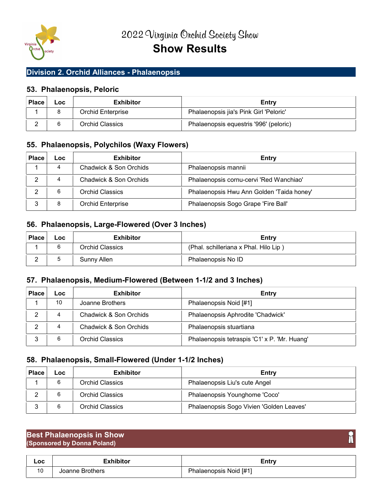

## Division 2. Orchid Alliances - Phalaenopsis

## 53. Phalaenopsis, Peloric

| <b>Place</b> | LOC | <b>Exhibitor</b>         | Entry                                  |
|--------------|-----|--------------------------|----------------------------------------|
|              |     | <b>Orchid Enterprise</b> | Phalaenopsis jia's Pink Girl 'Peloric' |
|              |     | Orchid Classics          | Phalaenopsis equestris '996' (peloric) |

## 55. Phalaenopsis, Polychilos (Waxy Flowers)

| <b>Place</b> | Loc. | <b>Exhibitor</b>       | Entry                                     |
|--------------|------|------------------------|-------------------------------------------|
|              | 4    | Chadwick & Son Orchids | Phalaenopsis mannii                       |
|              | 4    | Chadwick & Son Orchids | Phalaenopsis cornu-cervi 'Red Wanchiao'   |
|              | 6    | <b>Orchid Classics</b> | Phalaenopsis Hwu Ann Golden 'Taida honey' |
| ≏            |      | Orchid Enterprise      | Phalaenopsis Sogo Grape 'Fire Ball'       |

## 56. Phalaenopsis, Large-Flowered (Over 3 Inches)

| <b>Place</b> | <b>LOC</b> | <b>Exhibitor</b> | Entry                                 |
|--------------|------------|------------------|---------------------------------------|
|              |            | Orchid Classics  | (Phal. schilleriana x Phal. Hilo Lip) |
| $\sim$       |            | Sunny Allen      | Phalaenopsis No ID                    |

## 57. Phalaenopsis, Medium-Flowered (Between 1-1/2 and 3 Inches)

| <b>Place</b> | ∟oc | <b>Exhibitor</b>       | Entry                                        |
|--------------|-----|------------------------|----------------------------------------------|
|              | 10  | Joanne Brothers        | Phalaenopsis Noid [#1]                       |
|              | 4   | Chadwick & Son Orchids | Phalaenopsis Aphrodite 'Chadwick'            |
|              | 4   | Chadwick & Son Orchids | Phalaenopsis stuartiana                      |
|              |     | Orchid Classics        | Phalaenopsis tetraspis 'C1' x P. 'Mr. Huang' |

## 58. Phalaenopsis, Small-Flowered (Under 1-1/2 Inches)

| <b>Place</b> | ∟OC | <b>Exhibitor</b>       | Entry                                    |
|--------------|-----|------------------------|------------------------------------------|
|              |     | Orchid Classics        | Phalaenopsis Liu's cute Angel            |
|              |     | <b>Orchid Classics</b> | Phalaenopsis Younghome 'Coco'            |
|              |     | Orchid Classics        | Phalaenopsis Sogo Vivien 'Golden Leaves' |

#### Best Phalaenopsis in Show (Sponsored by Donna Poland)

| Loc      | Exhibitor       | cntry                          |
|----------|-----------------|--------------------------------|
| 10<br>טו | Joanne Brothers | Phalaenopsis Noid [#1]<br>. אר |

T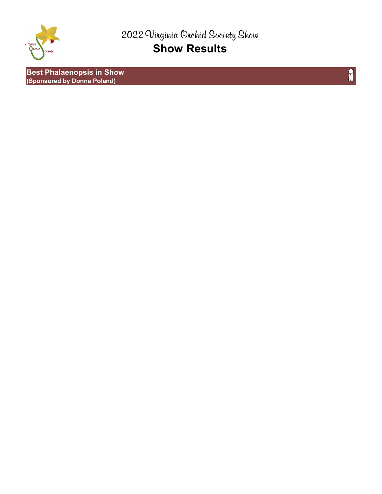

Best Phalaenopsis in Show (Sponsored by Donna Poland)

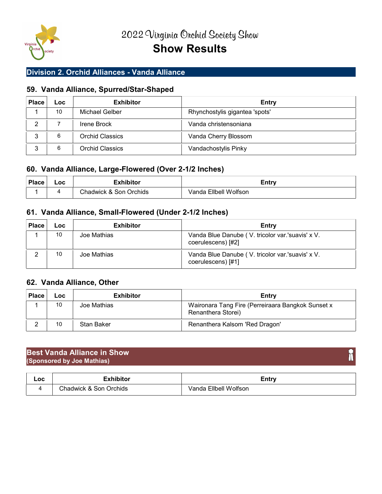

## Division 2. Orchid Alliances - Vanda Alliance

## 59. Vanda Alliance, Spurred/Star-Shaped

| <b>Place</b> | Loc | <b>Exhibitor</b> | Entry                          |
|--------------|-----|------------------|--------------------------------|
|              | 10  | Michael Gelber   | Rhynchostylis gigantea 'spots' |
|              |     | Irene Brock      | Vanda christensoniana          |
|              | 6   | Orchid Classics  | Vanda Cherry Blossom           |
|              | 6   | Orchid Classics  | Vandachostylis Pinky           |

## 60. Vanda Alliance, Large-Flowered (Over 2-1/2 Inches)

| <b>Place</b> | ∟oc | =vhihitor              | Entry                 |
|--------------|-----|------------------------|-----------------------|
|              |     | Chadwick & Son Orchids | Vanda Ellbell Wolfson |

## 61. Vanda Alliance, Small-Flowered (Under 2-1/2 Inches)

| <b>Place</b> | <b>Loc</b> | <b>Exhibitor</b> | Entry                                                                  |
|--------------|------------|------------------|------------------------------------------------------------------------|
|              | 10         | Joe Mathias      | Vanda Blue Danube (V. tricolor var.'suavis' x V.<br>coerulescens) [#2] |
|              | 10         | Joe Mathias      | Vanda Blue Danube (V. tricolor var.'suavis' x V.<br>coerulescens) [#1] |

## 62. Vanda Alliance, Other

| <b>Place</b> | LOC | <b>Exhibitor</b> | Entry                                                                   |
|--------------|-----|------------------|-------------------------------------------------------------------------|
|              | 10  | Joe Mathias      | Waironara Tang Fire (Perreiraara Bangkok Sunset x<br>Renanthera Storei) |
|              | 10  | Stan Baker       | Renanthera Kalsom 'Red Dragon'                                          |

#### Best Vanda Alliance in Show (Sponsored by Joe Mathias)

| Loc | للمفاملات<br>.            | <b>Entry</b>               |
|-----|---------------------------|----------------------------|
|     | Chadwick & Son<br>Orchids | Wolfson<br>Ellbell<br>anda |

## m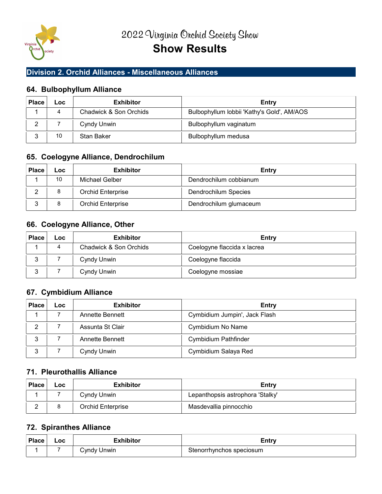

## Division 2. Orchid Alliances - Miscellaneous Alliances

## 64. Bulbophyllum Alliance

| Place | ∟oc | <b>Exhibitor</b>       | Entry                                      |
|-------|-----|------------------------|--------------------------------------------|
|       |     | Chadwick & Son Orchids | Bulbophyllum lobbii 'Kathy's Gold', AM/AOS |
|       |     | Cyndy Unwin            | Bulbophyllum vaginatum                     |
|       | 10  | Stan Baker             | Bulbophyllum medusa                        |

## 65. Coelogyne Alliance, Dendrochilum

| <b>Place</b> | Loc | <b>Exhibitor</b>  | Entry                  |
|--------------|-----|-------------------|------------------------|
|              | 10  | Michael Gelber    | Dendrochilum cobbianum |
|              |     | Orchid Enterprise | Dendrochilum Species   |
|              | 8   | Orchid Enterprise | Dendrochilum glumaceum |

## 66. Coelogyne Alliance, Other

| <b>Place</b> | Loc. | <b>Exhibitor</b>       | Entry                       |
|--------------|------|------------------------|-----------------------------|
|              | 4    | Chadwick & Son Orchids | Coelogyne flaccida x lacrea |
| ົ<br>ບ       |      | Cyndy Unwin            | Coelogyne flaccida          |
| ◠            |      | Cyndy Unwin            | Coelogyne mossiae           |

## 67. Cymbidium Alliance

| <b>Place</b> | Loc | <b>Exhibitor</b> | Entry                         |
|--------------|-----|------------------|-------------------------------|
|              |     | Annette Bennett  | Cymbidium Jumpin', Jack Flash |
| ∩            |     | Assunta St Clair | Cymbidium No Name             |
| 3            |     | Annette Bennett  | <b>Cymbidium Pathfinder</b>   |
| 3            |     | Cyndy Unwin      | Cymbidium Salaya Red          |

## 71. Pleurothallis Alliance

| <b>Place</b> | LOC | <b>Exhibitor</b>  | Entry                            |
|--------------|-----|-------------------|----------------------------------|
|              |     | Cyndy Unwin       | Lepanthopsis astrophora 'Stalky' |
| $\sim$       |     | Orchid Enterprise | Masdevallia pinnocchio           |

## 72. Spiranthes Alliance

| <b>Place</b> | $\overline{\phantom{0}}$ .<br>__ | ∵ihit∩r<br>. . L | <i><u><b>Entry</b></u></i> |
|--------------|----------------------------------|------------------|----------------------------|
|              |                                  | 'Jnwin<br>`vndv  | speciosum<br>nns<br>17.7n  |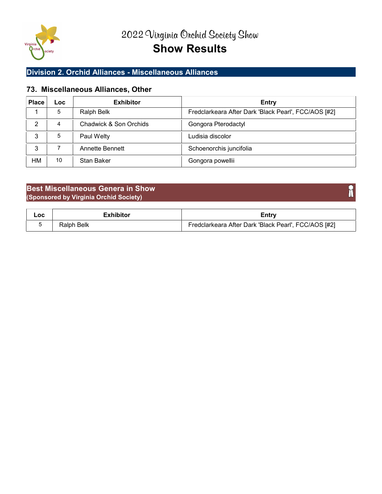

## Division 2. Orchid Alliances - Miscellaneous Alliances

## 73. Miscellaneous Alliances, Other

| <b>Place</b> | <b>Loc</b> | <b>Exhibitor</b>       | Entry                                                |
|--------------|------------|------------------------|------------------------------------------------------|
|              | 5          | Ralph Belk             | Fredclarkeara After Dark 'Black Pearl', FCC/AOS [#2] |
| 2            | 4          | Chadwick & Son Orchids | Gongora Pterodactyl                                  |
| 3            | 5          | Paul Welty             | Ludisia discolor                                     |
| 3            |            | Annette Bennett        | Schoenorchis juncifolia                              |
| НM           | 10         | Stan Baker             | Gongora powellii                                     |

## Best Miscellaneous Genera in Show (Sponsored by Virginia Orchid Society)

| Loc |               | $\epsilon$ ntrv                                      |
|-----|---------------|------------------------------------------------------|
|     | Belk<br>≺aıpr | Fredclarkeara After Dark 'Black Pearl', FCC/AOS [#2] |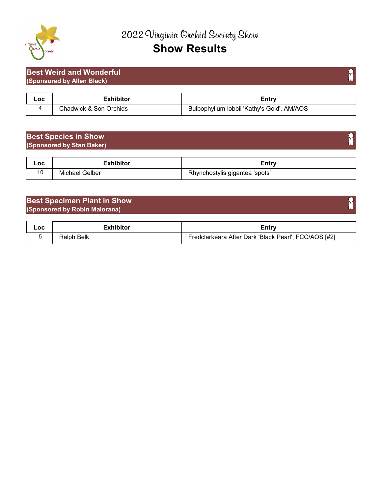

## Best Weird and Wonderful (Sponsored by Allen Black)

| Loc | hibito                       | Entry                                                    |
|-----|------------------------------|----------------------------------------------------------|
|     | Chadwick &<br>Orchids<br>Son | AM/AOS<br>I lobbii 'Kathy's Gold'<br>ulbophvilum<br>DUID |

## Best Species in Show (Sponsored by Stan Baker)

| Loc | Exhibito       | ™ntm.<br>≞uu ∶                        |
|-----|----------------|---------------------------------------|
| 1 V | Michael Gelber | Rhynchostylis<br>≒gigantea<br>'spots' |

## Best Specimen Plant in Show (Sponsored by Robin Maiorana)

| $\overline{\mathsf{C}}$ | Exhibitor  | ∠ntrv                                                |
|-------------------------|------------|------------------------------------------------------|
|                         | Ralph Belk | Fredclarkeara After Dark 'Black Pearl', FCC/AOS [#2] |

f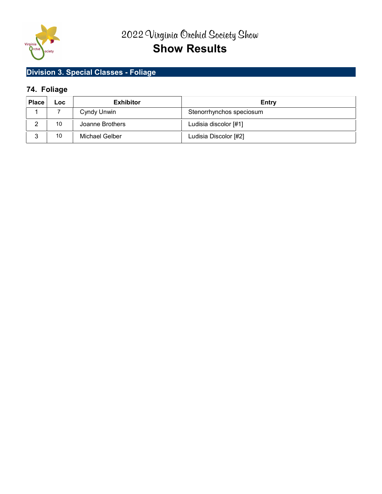

# Division 3. Special Classes - Foliage

## 74. Foliage

| <b>Place</b> | <b>Loc</b> | <b>Exhibitor</b>      | Entry                    |
|--------------|------------|-----------------------|--------------------------|
|              |            | Cyndy Unwin           | Stenorrhynchos speciosum |
|              | 10         | Joanne Brothers       | Ludisia discolor [#1]    |
|              | 10         | <b>Michael Gelber</b> | Ludisia Discolor [#2]    |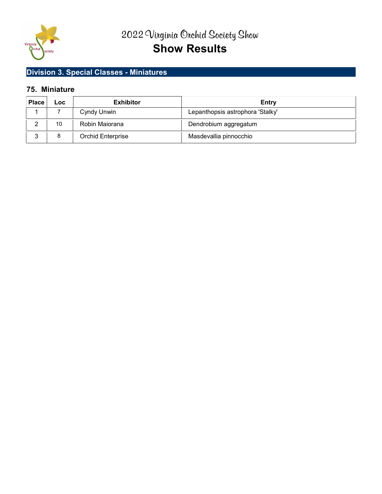

## Division 3. Special Classes - Miniatures

## 75. Miniature

| <b>Place</b> | ∟oc | <b>Exhibitor</b>         | Entry                            |
|--------------|-----|--------------------------|----------------------------------|
|              |     | Cyndy Unwin              | Lepanthopsis astrophora 'Stalky' |
|              | 10  | Robin Maiorana           | Dendrobium aggregatum            |
|              | 8   | <b>Orchid Enterprise</b> | Masdevallia pinnocchio           |